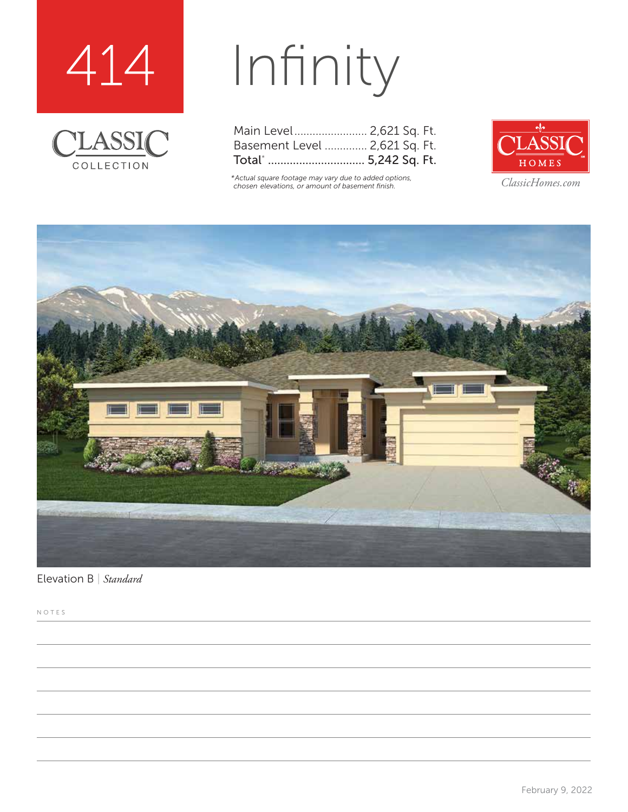



# Infinity

| Main Level 2,621 Sq. Ft.      |  |  |
|-------------------------------|--|--|
| Basement Level  2,621 Sq. Ft. |  |  |
| Total*  5,242 Sq. Ft.         |  |  |

*\*Actual square footage may vary due to added options, chosen elevations, or amount of basement finish. ClassicHomes.com*





Elevation B | *Standard*

NOTES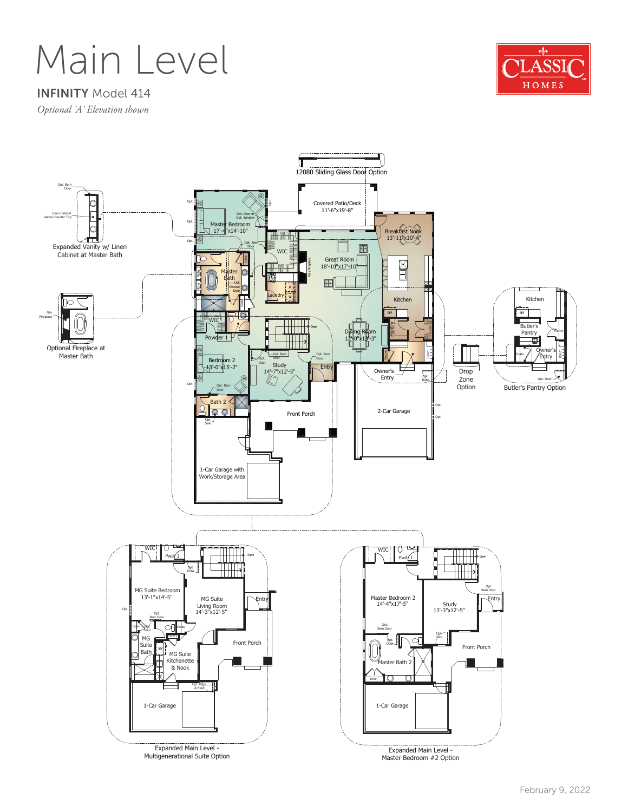### Main Level



#### INFINITY Model 414

*Optional 'A' Elevation shown*

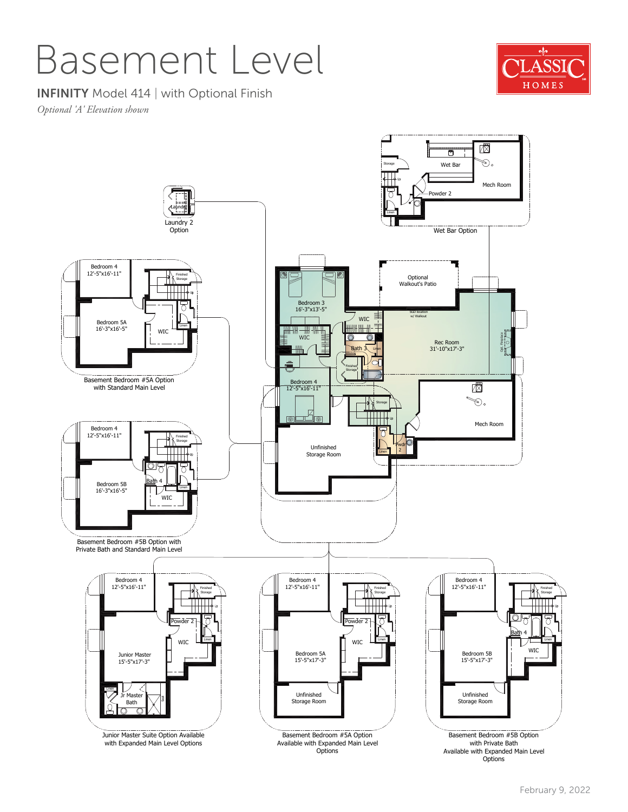### Basement Level



INFINITY Model 414 | with Optional Finish

*Optional 'A' Elevation shown*